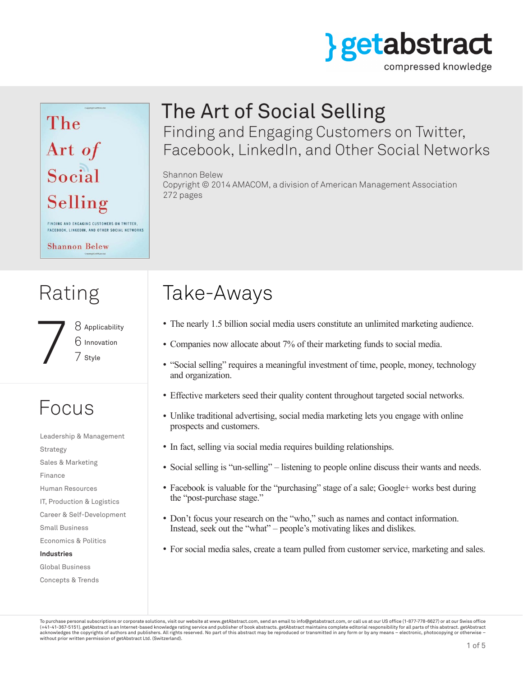

compressed knowledge

## The Art of Social Selling FINDING AND ENGAGING CUSTOMERS ON TWITTER, FACEBOOK, LINKEDIN, AND OTHER SOCIAL NETWORKS

**Shannon Belew** 

# Rating

8 Applicability 8 Applicabili<br>6 Innovation<br>7 Style

# Focus

Leadership & Management Strategy Sales & Marketing Finance Human Resources IT, Production & Logistics Career & Self-Development Small Business Economics & Politics **Industries** Global Business

Concepts & Trends

# The Art of Social Selling Finding and Engaging Customers on Twitter,

Facebook, LinkedIn, and Other Social Networks

#### Shannon Belew

Copyright © 2014 AMACOM, a division of American Management Association 272 pages

# Take-Aways

- The nearly 1.5 billion social media users constitute an unlimited marketing audience.
- Companies now allocate about 7% of their marketing funds to social media.
- "Social selling" requires a meaningful investment of time, people, money, technology and organization.
- Effective marketers seed their quality content throughout targeted social networks.
- Unlike traditional advertising, social media marketing lets you engage with online prospects and customers.
- In fact, selling via social media requires building relationships.
- Social selling is "un-selling" listening to people online discuss their wants and needs.
- Facebook is valuable for the "purchasing" stage of a sale; Google+ works best during the "post-purchase stage."
- Don't focus your research on the "who," such as names and contact information. Instead, seek out the "what" – people's motivating likes and dislikes.
- For social media sales, create a team pulled from customer service, marketing and sales.

To purchase personal subscriptions or corporate solutions, visit our website at www.getAbstract.com, send an email to info@getabstract.com, or call us at our US office (1-877-778-6627) or at our Swiss office  $(+41-41-367-5151)$ . getAbstract is an Internet-based knowledge rating service and publisher of book abstracts. getAbstract maintains complete editorial responsibility for all parts of this abstract. getAbstract acknowledges the copyrights of authors and publishers. All rights reserved. No part of this abstract may be reproduced or transmitted in any form or by any means – electronic, photocopying or otherwise – without prior written permission of getAbstract Ltd. (Switzerland).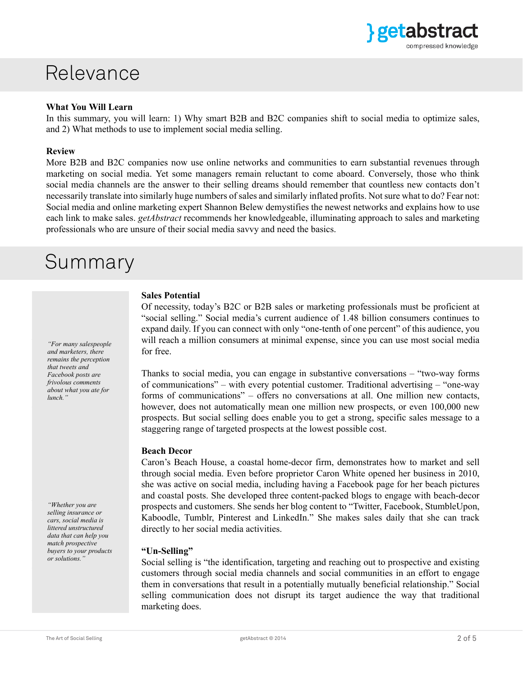

### Relevance

#### **What You Will Learn**

In this summary, you will learn: 1) Why smart B2B and B2C companies shift to social media to optimize sales, and 2) What methods to use to implement social media selling.

#### **Review**

More B2B and B2C companies now use online networks and communities to earn substantial revenues through marketing on social media. Yet some managers remain reluctant to come aboard. Conversely, those who think social media channels are the answer to their selling dreams should remember that countless new contacts don't necessarily translate into similarly huge numbers of sales and similarly inflated profits. Not sure what to do? Fear not: Social media and online marketing expert Shannon Belew demystifies the newest networks and explains how to use each link to make sales. *getAbstract* recommends her knowledgeable, illuminating approach to sales and marketing professionals who are unsure of their social media savvy and need the basics.

### Summary

*"For many salespeople and marketers, there remains the perception that tweets and Facebook posts are frivolous comments about what you ate for lunch."*

*"Whether you are selling insurance or cars, social media is littered unstructured data that can help you match prospective buyers to your products or solutions."*

#### **Sales Potential**

Of necessity, today's B2C or B2B sales or marketing professionals must be proficient at "social selling." Social media's current audience of 1.48 billion consumers continues to expand daily. If you can connect with only "one-tenth of one percent" of this audience, you will reach a million consumers at minimal expense, since you can use most social media for free.

Thanks to social media, you can engage in substantive conversations – "two-way forms of communications" – with every potential customer. Traditional advertising – "one-way forms of communications" – offers no conversations at all. One million new contacts, however, does not automatically mean one million new prospects, or even  $100,000$  new prospects. But social selling does enable you to get a strong, specific sales message to a staggering range of targeted prospects at the lowest possible cost.

#### **Beach Decor**

Caron's Beach House, a coastal home-decor firm, demonstrates how to market and sell through social media. Even before proprietor Caron White opened her business in 2010, she was active on social media, including having a Facebook page for her beach pictures and coastal posts. She developed three content-packed blogs to engage with beach-decor prospects and customers. She sends her blog content to "Twitter, Facebook, StumbleUpon, Kaboodle, Tumblr, Pinterest and LinkedIn." She makes sales daily that she can track directly to her social media activities.

#### **"Un-Selling"**

Social selling is "the identification, targeting and reaching out to prospective and existing customers through social media channels and social communities in an effort to engage them in conversations that result in a potentially mutually beneficial relationship." Social selling communication does not disrupt its target audience the way that traditional marketing does.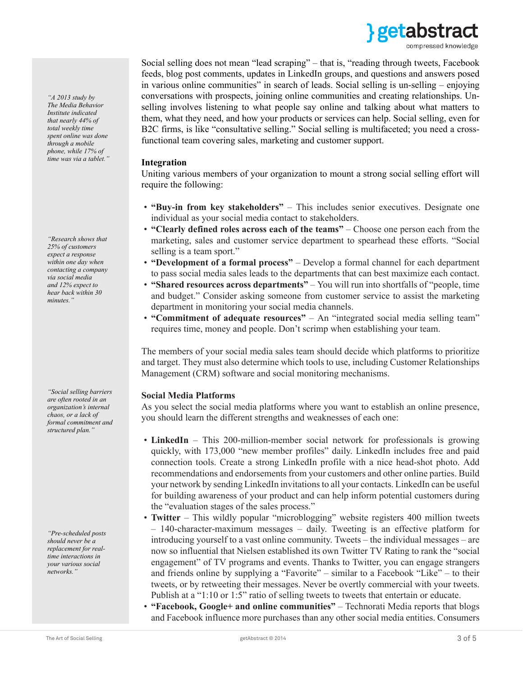

Social selling does not mean "lead scraping" – that is, "reading through tweets, Facebook feeds, blog post comments, updates in LinkedIn groups, and questions and answers posed in various online communities" in search of leads. Social selling is un-selling – enjoying conversations with prospects, joining online communities and creating relationships. Unselling involves listening to what people say online and talking about what matters to them, what they need, and how your products or services can help. Social selling, even for B2C firms, is like "consultative selling." Social selling is multifaceted; you need a crossfunctional team covering sales, marketing and customer support.

#### **Integration**

Uniting various members of your organization to mount a strong social selling effort will require the following:

- **"Buy-in from key stakeholders"** This includes senior executives. Designate one individual as your social media contact to stakeholders.
- **"Clearly defined roles across each of the teams"** Choose one person each from the marketing, sales and customer service department to spearhead these efforts. "Social selling is a team sport."
- **"Development of a formal process"**  Develop a formal channel for each department to pass social media sales leads to the departments that can best maximize each contact.
- **"Shared resources across departments"** You will run into shortfalls of "people, time and budget." Consider asking someone from customer service to assist the marketing department in monitoring your social media channels.
- **"Commitment of adequate resources"** An "integrated social media selling team" requires time, money and people. Don't scrimp when establishing your team.

The members of your social media sales team should decide which platforms to prioritize and target. They must also determine which tools to use, including Customer Relationships Management (CRM) software and social monitoring mechanisms.

#### **Social Media Platforms**

As you select the social media platforms where you want to establish an online presence, you should learn the different strengths and weaknesses of each one:

- **LinkedIn** This 200-million-member social network for professionals is growing quickly, with 173,000 "new member profiles" daily. LinkedIn includes free and paid connection tools. Create a strong LinkedIn profile with a nice head-shot photo. Add recommendations and endorsements from your customers and other online parties. Build your network by sending LinkedIn invitations to all your contacts. LinkedIn can be useful for building awareness of your product and can help inform potential customers during the "evaluation stages of the sales process."
- **Twitter** This wildly popular "microblogging" website registers 400 million tweets – 140-character-maximum messages – daily. Tweeting is an effective platform for introducing yourself to a vast online community. Tweets – the individual messages – are now so influential that Nielsen established its own Twitter TV Rating to rank the "social engagement" of TV programs and events. Thanks to Twitter, you can engage strangers and friends online by supplying a "Favorite" – similar to a Facebook "Like" – to their tweets, or by retweeting their messages. Never be overtly commercial with your tweets. Publish at a "1:10 or 1:5" ratio of selling tweets to tweets that entertain or educate.
- **"Facebook, Google+ and online communities"** Technorati Media reports that blogs and Facebook influence more purchases than any other social media entities. Consumers

*"A 2013 study by The Media Behavior Institute indicated that nearly 44% of total weekly time spent online was done through a mobile phone, while 17% of time was via a tablet."*

*"Research shows that 25% of customers expect a response within one day when contacting a company via social media and 12% expect to hear back within 30 minutes."*

*"Social selling barriers are often rooted in an organization's internal chaos, or a lack of formal commitment and structured plan."*

*"Pre-scheduled posts should never be a replacement for realtime interactions in your various social networks."*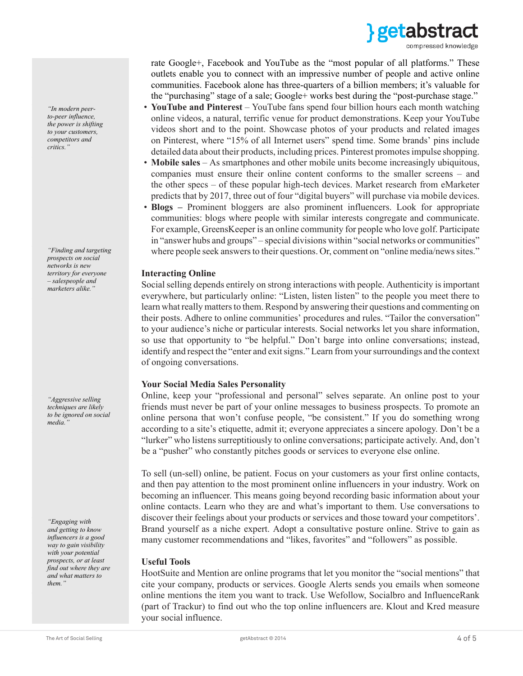

*"In modern peerto-peer influence, the power is shifting to your customers, competitors and critics."*

*"Finding and targeting prospects on social networks is new territory for everyone – salespeople and marketers alike."*

*"Aggressive selling techniques are likely to be ignored on social media."*

*"Engaging with and getting to know influencers is a good way to gain visibility with your potential prospects, or at least find out where they are and what matters to them."*

rate Google+, Facebook and YouTube as the "most popular of all platforms." These outlets enable you to connect with an impressive number of people and active online communities. Facebook alone has three-quarters of a billion members; it's valuable for the "purchasing" stage of a sale; Google+ works best during the "post-purchase stage."

- **YouTube and Pinterest** YouTube fans spend four billion hours each month watching online videos, a natural, terrific venue for product demonstrations. Keep your YouTube videos short and to the point. Showcase photos of your products and related images on Pinterest, where "15% of all Internet users" spend time. Some brands' pins include detailed data about their products, including prices. Pinterest promotes impulse shopping.
- **Mobile sales** As smartphones and other mobile units become increasingly ubiquitous, companies must ensure their online content conforms to the smaller screens – and the other specs – of these popular high-tech devices. Market research from eMarketer predicts that by 2017, three out of four "digital buyers" will purchase via mobile devices.
- **Blogs –** Prominent bloggers are also prominent influencers. Look for appropriate communities: blogs where people with similar interests congregate and communicate. For example, GreensKeeper is an online community for people who love golf. Participate in "answer hubs and groups" – special divisions within "social networks or communities" where people seek answers to their questions. Or, comment on "online media/news sites."

#### **Interacting Online**

Social selling depends entirely on strong interactions with people. Authenticity is important everywhere, but particularly online: "Listen, listen listen" to the people you meet there to learn what really matters to them. Respond by answering their questions and commenting on their posts. Adhere to online communities' procedures and rules. "Tailor the conversation" to your audience's niche or particular interests. Social networks let you share information, so use that opportunity to "be helpful." Don't barge into online conversations; instead, identify and respect the "enter and exit signs." Learn from your surroundings and the context of ongoing conversations.

#### **Your Social Media Sales Personality**

Online, keep your "professional and personal" selves separate. An online post to your friends must never be part of your online messages to business prospects. To promote an online persona that won't confuse people, "be consistent." If you do something wrong according to a site's etiquette, admit it; everyone appreciates a sincere apology. Don't be a "lurker" who listens surreptitiously to online conversations; participate actively. And, don't be a "pusher" who constantly pitches goods or services to everyone else online.

To sell (un-sell) online, be patient. Focus on your customers as your first online contacts, and then pay attention to the most prominent online influencers in your industry. Work on becoming an influencer. This means going beyond recording basic information about your online contacts. Learn who they are and what's important to them. Use conversations to discover their feelings about your products or services and those toward your competitors'. Brand yourself as a niche expert. Adopt a consultative posture online. Strive to gain as many customer recommendations and "likes, favorites" and "followers" as possible.

#### **Useful Tools**

HootSuite and Mention are online programs that let you monitor the "social mentions" that cite your company, products or services. Google Alerts sends you emails when someone online mentions the item you want to track. Use Wefollow, Socialbro and InfluenceRank (part of Trackur) to find out who the top online influencers are. Klout and Kred measure your social influence.